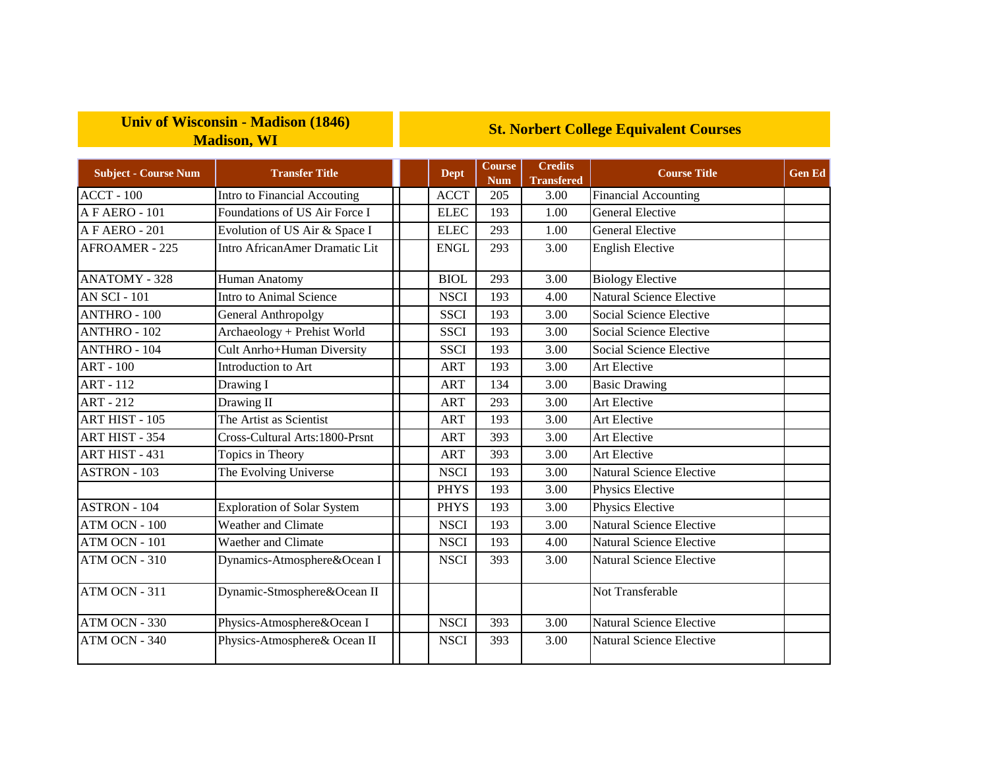## **Univ of Wisconsin - Madison (1846) Madison, WI**

## **St. Norbert College Equivalent Courses**

| <b>Subject - Course Num</b> | <b>Transfer Title</b>              | <b>Dept</b> | <b>Course</b><br><b>Num</b> | <b>Credits</b><br><b>Transfered</b> | <b>Course Title</b>             | <b>Gen Ed</b> |
|-----------------------------|------------------------------------|-------------|-----------------------------|-------------------------------------|---------------------------------|---------------|
| <b>ACCT - 100</b>           | Intro to Financial Accouting       | <b>ACCT</b> | 205                         | 3.00                                | <b>Financial Accounting</b>     |               |
| AFAERO-101                  | Foundations of US Air Force I      | <b>ELEC</b> | 193                         | 1.00                                | <b>General Elective</b>         |               |
| A F AERO - 201              | Evolution of US Air & Space I      | <b>ELEC</b> | 293                         | 1.00                                | <b>General Elective</b>         |               |
| <b>AFROAMER - 225</b>       | Intro AfricanAmer Dramatic Lit     | <b>ENGL</b> | 293                         | 3.00                                | <b>English Elective</b>         |               |
| <b>ANATOMY - 328</b>        | Human Anatomy                      | <b>BIOL</b> | 293                         | 3.00                                | <b>Biology Elective</b>         |               |
| <b>AN SCI - 101</b>         | <b>Intro to Animal Science</b>     | <b>NSCI</b> | 193                         | 4.00                                | Natural Science Elective        |               |
| <b>ANTHRO - 100</b>         | <b>General Anthropolgy</b>         | <b>SSCI</b> | 193                         | 3.00                                | Social Science Elective         |               |
| <b>ANTHRO - 102</b>         | Archaeology + Prehist World        | <b>SSCI</b> | 193                         | 3.00                                | Social Science Elective         |               |
| <b>ANTHRO - 104</b>         | Cult Anrho+Human Diversity         | <b>SSCI</b> | 193                         | 3.00                                | Social Science Elective         |               |
| $ART - 100$                 | Introduction to Art                | <b>ART</b>  | 193                         | 3.00                                | Art Elective                    |               |
| <b>ART - 112</b>            | Drawing I                          | <b>ART</b>  | 134                         | 3.00                                | <b>Basic Drawing</b>            |               |
| <b>ART - 212</b>            | Drawing II                         | <b>ART</b>  | 293                         | 3.00                                | Art Elective                    |               |
| <b>ART HIST - 105</b>       | The Artist as Scientist            | <b>ART</b>  | 193                         | 3.00                                | Art Elective                    |               |
| ART HIST - 354              | Cross-Cultural Arts:1800-Prsnt     | <b>ART</b>  | 393                         | 3.00                                | <b>Art Elective</b>             |               |
| ART HIST - 431              | Topics in Theory                   | <b>ART</b>  | 393                         | 3.00                                | Art Elective                    |               |
| <b>ASTRON - 103</b>         | The Evolving Universe              | <b>NSCI</b> | 193                         | 3.00                                | <b>Natural Science Elective</b> |               |
|                             |                                    | <b>PHYS</b> | 193                         | 3.00                                | Physics Elective                |               |
| <b>ASTRON - 104</b>         | <b>Exploration of Solar System</b> | <b>PHYS</b> | 193                         | 3.00                                | Physics Elective                |               |
| ATM OCN - 100               | Weather and Climate                | <b>NSCI</b> | 193                         | 3.00                                | <b>Natural Science Elective</b> |               |
| $ATM$ OCN - $101$           | Waether and Climate                | <b>NSCI</b> | 193                         | 4.00                                | Natural Science Elective        |               |
| ATM OCN - 310               | Dynamics-Atmosphere&Ocean I        | <b>NSCI</b> | 393                         | 3.00                                | Natural Science Elective        |               |
| ATM OCN - 311               | Dynamic-Stmosphere&Ocean II        |             |                             |                                     | Not Transferable                |               |
| ATM OCN - 330               | Physics-Atmosphere&Ocean I         | <b>NSCI</b> | 393                         | 3.00                                | <b>Natural Science Elective</b> |               |
| ATM OCN - 340               | Physics-Atmosphere& Ocean II       | <b>NSCI</b> | 393                         | 3.00                                | Natural Science Elective        |               |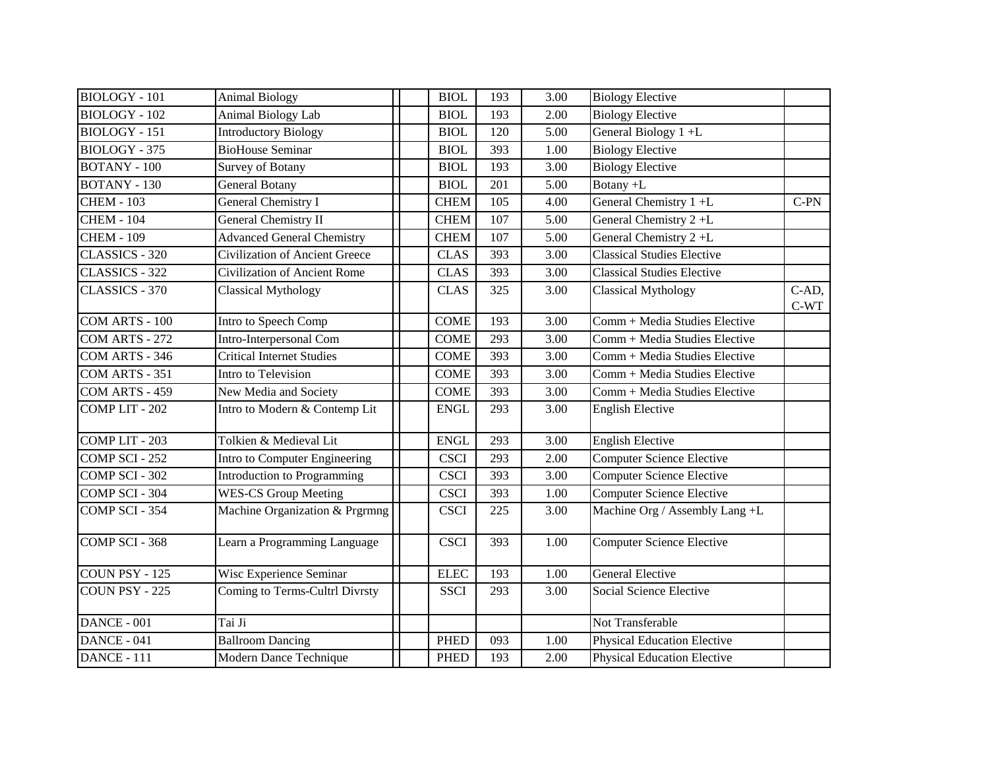| <b>BIOLOGY - 101</b> | <b>Animal Biology</b>                 | <b>BIOL</b> | 193 | 3.00 | <b>Biology Elective</b>            |                 |
|----------------------|---------------------------------------|-------------|-----|------|------------------------------------|-----------------|
| <b>BIOLOGY - 102</b> | Animal Biology Lab                    | <b>BIOL</b> | 193 | 2.00 | <b>Biology Elective</b>            |                 |
| <b>BIOLOGY - 151</b> | <b>Introductory Biology</b>           | <b>BIOL</b> | 120 | 5.00 | General Biology 1+L                |                 |
| BIOLOGY - 375        | <b>BioHouse Seminar</b>               | <b>BIOL</b> | 393 | 1.00 | <b>Biology Elective</b>            |                 |
| <b>BOTANY - 100</b>  | <b>Survey of Botany</b>               | <b>BIOL</b> | 193 | 3.00 | <b>Biology Elective</b>            |                 |
| <b>BOTANY - 130</b>  | <b>General Botany</b>                 | <b>BIOL</b> | 201 | 5.00 | Botany +L                          |                 |
| <b>CHEM - 103</b>    | General Chemistry I                   | <b>CHEM</b> | 105 | 4.00 | General Chemistry 1 +L             | $C-PN$          |
| <b>CHEM - 104</b>    | <b>General Chemistry II</b>           | <b>CHEM</b> | 107 | 5.00 | General Chemistry 2+L              |                 |
| <b>CHEM - 109</b>    | <b>Advanced General Chemistry</b>     | <b>CHEM</b> | 107 | 5.00 | General Chemistry 2+L              |                 |
| CLASSICS - 320       | <b>Civilization of Ancient Greece</b> | <b>CLAS</b> | 393 | 3.00 | <b>Classical Studies Elective</b>  |                 |
| CLASSICS - 322       | <b>Civilization of Ancient Rome</b>   | <b>CLAS</b> | 393 | 3.00 | <b>Classical Studies Elective</b>  |                 |
| CLASSICS - 370       | <b>Classical Mythology</b>            | <b>CLAS</b> | 325 | 3.00 | <b>Classical Mythology</b>         | C-AD,<br>$C-WT$ |
| COM ARTS - 100       | Intro to Speech Comp                  | <b>COME</b> | 193 | 3.00 | Comm + Media Studies Elective      |                 |
| COM ARTS - 272       | Intro-Interpersonal Com               | <b>COME</b> | 293 | 3.00 | Comm + Media Studies Elective      |                 |
| COM ARTS - 346       | <b>Critical Internet Studies</b>      | <b>COME</b> | 393 | 3.00 | Comm + Media Studies Elective      |                 |
| COM ARTS - 351       | Intro to Television                   | <b>COME</b> | 393 | 3.00 | Comm + Media Studies Elective      |                 |
| COM ARTS - 459       | New Media and Society                 | <b>COME</b> | 393 | 3.00 | Comm + Media Studies Elective      |                 |
| COMP LIT - 202       | Intro to Modern & Contemp Lit         | <b>ENGL</b> | 293 | 3.00 | <b>English Elective</b>            |                 |
| COMP LIT - 203       | Tolkien & Medieval Lit                | <b>ENGL</b> | 293 | 3.00 | <b>English Elective</b>            |                 |
| COMP SCI - $252$     | Intro to Computer Engineering         | <b>CSCI</b> | 293 | 2.00 | <b>Computer Science Elective</b>   |                 |
| COMP SCI - 302       | Introduction to Programming           | <b>CSCI</b> | 393 | 3.00 | <b>Computer Science Elective</b>   |                 |
| COMP SCI - 304       | <b>WES-CS Group Meeting</b>           | <b>CSCI</b> | 393 | 1.00 | <b>Computer Science Elective</b>   |                 |
| COMP SCI - 354       | Machine Organization & Prgrmng        | <b>CSCI</b> | 225 | 3.00 | Machine Org / Assembly Lang +L     |                 |
| COMP SCI - 368       | Learn a Programming Language          | <b>CSCI</b> | 393 | 1.00 | <b>Computer Science Elective</b>   |                 |
| COUN PSY - 125       | Wisc Experience Seminar               | <b>ELEC</b> | 193 | 1.00 | <b>General Elective</b>            |                 |
| COUN PSY - 225       | Coming to Terms-Cultrl Divrsty        | <b>SSCI</b> | 293 | 3.00 | Social Science Elective            |                 |
| DANCE - 001          | Tai Ji                                |             |     |      | Not Transferable                   |                 |
| DANCE - 041          | <b>Ballroom Dancing</b>               | <b>PHED</b> | 093 | 1.00 | <b>Physical Education Elective</b> |                 |
| <b>DANCE - 111</b>   | Modern Dance Technique                | <b>PHED</b> | 193 | 2.00 | <b>Physical Education Elective</b> |                 |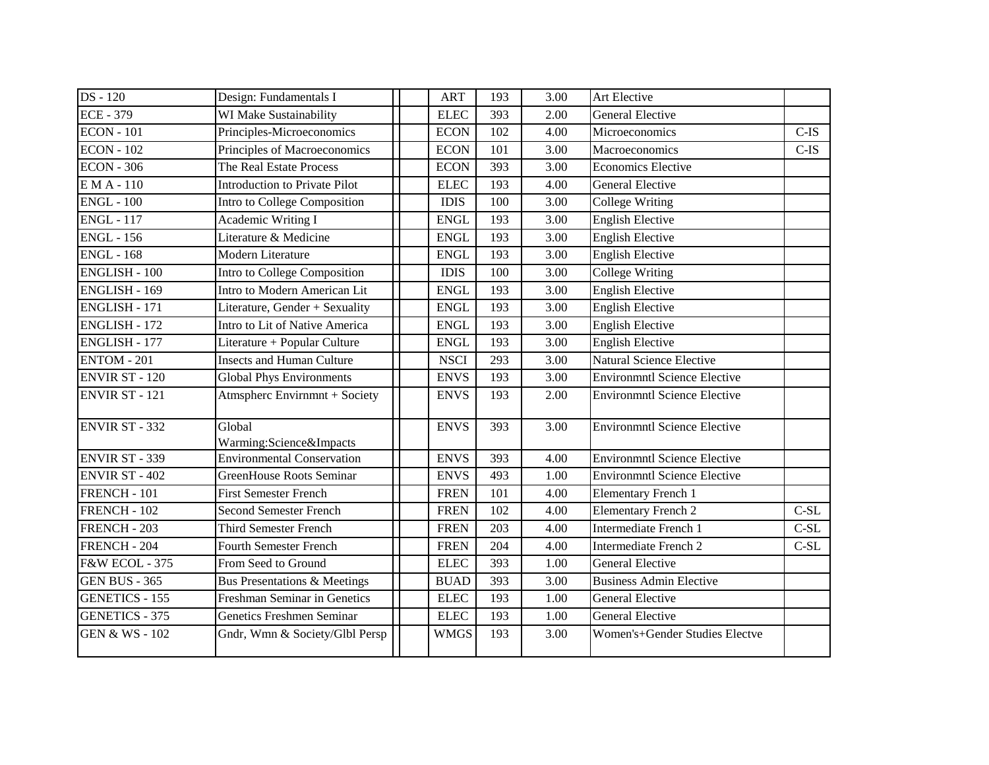| <b>DS</b> - 120           | Design: Fundamentals I            | <b>ART</b>  | 193 | 3.00 | Art Elective                        |         |
|---------------------------|-----------------------------------|-------------|-----|------|-------------------------------------|---------|
| <b>ECE - 379</b>          | WI Make Sustainability            | <b>ELEC</b> | 393 | 2.00 | <b>General Elective</b>             |         |
| <b>ECON</b> - 101         | Principles-Microeconomics         | <b>ECON</b> | 102 | 4.00 | Microeconomics                      | $C$ -IS |
| <b>ECON - 102</b>         | Principles of Macroeconomics      | <b>ECON</b> | 101 | 3.00 | Macroeconomics                      | $C$ -IS |
| <b>ECON - 306</b>         | The Real Estate Process           | <b>ECON</b> | 393 | 3.00 | <b>Economics Elective</b>           |         |
| $EMA-110$                 | Introduction to Private Pilot     | <b>ELEC</b> | 193 | 4.00 | <b>General Elective</b>             |         |
| <b>ENGL - 100</b>         | Intro to College Composition      | <b>IDIS</b> | 100 | 3.00 | <b>College Writing</b>              |         |
| <b>ENGL - 117</b>         | Academic Writing I                | <b>ENGL</b> | 193 | 3.00 | <b>English Elective</b>             |         |
| <b>ENGL - 156</b>         | Literature & Medicine             | <b>ENGL</b> | 193 | 3.00 | <b>English Elective</b>             |         |
| <b>ENGL - 168</b>         | Modern Literature                 | <b>ENGL</b> | 193 | 3.00 | <b>English Elective</b>             |         |
| <b>ENGLISH - 100</b>      | Intro to College Composition      | <b>IDIS</b> | 100 | 3.00 | <b>College Writing</b>              |         |
| <b>ENGLISH - 169</b>      | Intro to Modern American Lit      | <b>ENGL</b> | 193 | 3.00 | <b>English Elective</b>             |         |
| <b>ENGLISH - 171</b>      | Literature, Gender + Sexuality    | <b>ENGL</b> | 193 | 3.00 | <b>English Elective</b>             |         |
| <b>ENGLISH - 172</b>      | Intro to Lit of Native America    | <b>ENGL</b> | 193 | 3.00 | <b>English Elective</b>             |         |
| $ENGLISH - 177$           | Literature + Popular Culture      | <b>ENGL</b> | 193 | 3.00 | <b>English Elective</b>             |         |
| <b>ENTOM - 201</b>        | <b>Insects and Human Culture</b>  | <b>NSCI</b> | 293 | 3.00 | Natural Science Elective            |         |
| <b>ENVIR ST - 120</b>     | <b>Global Phys Environments</b>   | <b>ENVS</b> | 193 | 3.00 | <b>Environmntl Science Elective</b> |         |
| <b>ENVIR ST - 121</b>     | Atmspherc Envirnmnt + Society     | <b>ENVS</b> | 193 | 2.00 | <b>Environmntl Science Elective</b> |         |
| <b>ENVIR ST - 332</b>     | Global<br>Warming:Science&Impacts | <b>ENVS</b> | 393 | 3.00 | <b>Environmntl Science Elective</b> |         |
| <b>ENVIR ST - 339</b>     | <b>Environmental Conservation</b> | <b>ENVS</b> | 393 | 4.00 | <b>Environmntl Science Elective</b> |         |
| <b>ENVIR ST - 402</b>     | <b>GreenHouse Roots Seminar</b>   | <b>ENVS</b> | 493 | 1.00 | <b>Environmntl Science Elective</b> |         |
| FRENCH - 101              | <b>First Semester French</b>      | <b>FREN</b> | 101 | 4.00 | <b>Elementary French 1</b>          |         |
| FRENCH - 102              | <b>Second Semester French</b>     | <b>FREN</b> | 102 | 4.00 | <b>Elementary French 2</b>          | $C-SL$  |
| FRENCH - 203              | <b>Third Semester French</b>      | <b>FREN</b> | 203 | 4.00 | Intermediate French 1               | $C-SL$  |
| FRENCH - 204              | <b>Fourth Semester French</b>     | <b>FREN</b> | 204 | 4.00 | Intermediate French 2               | $C-SL$  |
| <b>F&amp;W ECOL - 375</b> | From Seed to Ground               | <b>ELEC</b> | 393 | 1.00 | <b>General Elective</b>             |         |
| <b>GEN BUS - 365</b>      | Bus Presentations & Meetings      | <b>BUAD</b> | 393 | 3.00 | <b>Business Admin Elective</b>      |         |
| <b>GENETICS - 155</b>     | Freshman Seminar in Genetics      | <b>ELEC</b> | 193 | 1.00 | <b>General Elective</b>             |         |
| <b>GENETICS - 375</b>     | <b>Genetics Freshmen Seminar</b>  | <b>ELEC</b> | 193 | 1.00 | <b>General Elective</b>             |         |
| <b>GEN &amp; WS - 102</b> | Gndr, Wmn & Society/Glbl Persp    | <b>WMGS</b> | 193 | 3.00 | Women's+Gender Studies Electve      |         |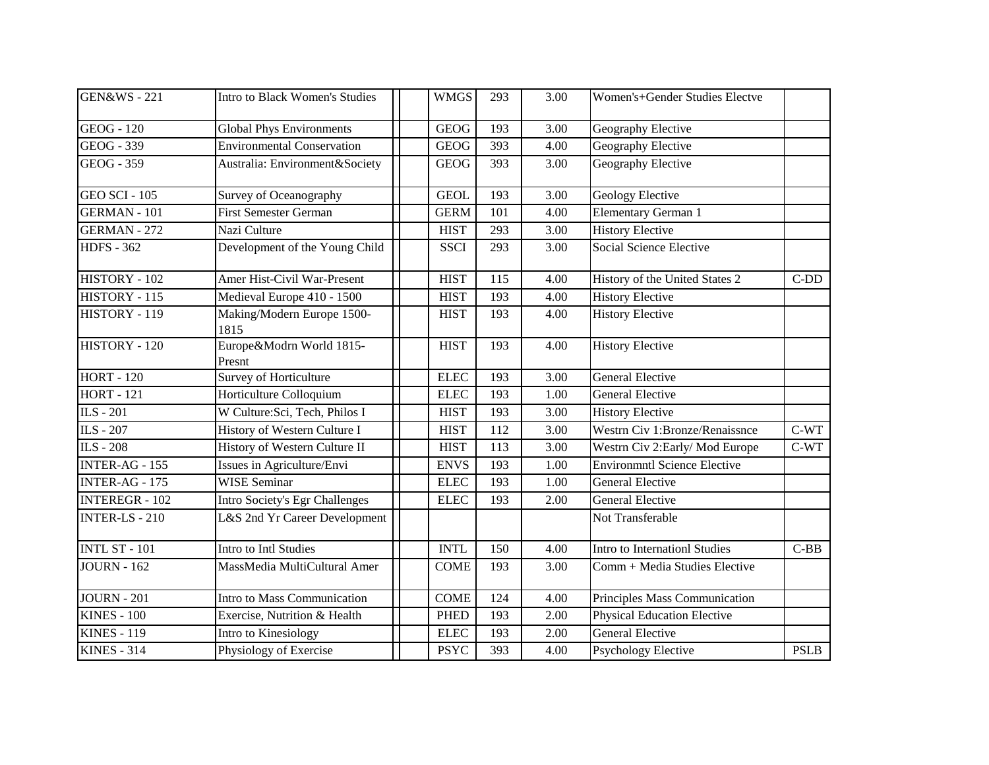| <b>GEN&amp;WS - 221</b> | Intro to Black Women's Studies        | <b>WMGS</b> | 293 | 3.00 | Women's+Gender Studies Electve      |             |
|-------------------------|---------------------------------------|-------------|-----|------|-------------------------------------|-------------|
| <b>GEOG</b> - 120       | <b>Global Phys Environments</b>       | <b>GEOG</b> | 193 | 3.00 | Geography Elective                  |             |
| <b>GEOG - 339</b>       | <b>Environmental Conservation</b>     | <b>GEOG</b> | 393 | 4.00 | Geography Elective                  |             |
| <b>GEOG - 359</b>       | Australia: Environment&Society        | <b>GEOG</b> | 393 | 3.00 | Geography Elective                  |             |
| <b>GEO SCI - 105</b>    | Survey of Oceanography                | <b>GEOL</b> | 193 | 3.00 | <b>Geology Elective</b>             |             |
| <b>GERMAN - 101</b>     | <b>First Semester German</b>          | <b>GERM</b> | 101 | 4.00 | <b>Elementary German 1</b>          |             |
| <b>GERMAN - 272</b>     | Nazi Culture                          | <b>HIST</b> | 293 | 3.00 | <b>History Elective</b>             |             |
| <b>HDFS - 362</b>       | Development of the Young Child        | <b>SSCI</b> | 293 | 3.00 | <b>Social Science Elective</b>      |             |
| HISTORY - 102           | Amer Hist-Civil War-Present           | <b>HIST</b> | 115 | 4.00 | History of the United States 2      | $C-DD$      |
| HISTORY - 115           | Medieval Europe 410 - 1500            | <b>HIST</b> | 193 | 4.00 | <b>History Elective</b>             |             |
| HISTORY - 119           | Making/Modern Europe 1500-<br>1815    | <b>HIST</b> | 193 | 4.00 | <b>History Elective</b>             |             |
| HISTORY - 120           | Europe&Modrn World 1815-<br>Presnt    | <b>HIST</b> | 193 | 4.00 | <b>History Elective</b>             |             |
| <b>HORT - 120</b>       | <b>Survey of Horticulture</b>         | <b>ELEC</b> | 193 | 3.00 | <b>General Elective</b>             |             |
| <b>HORT - 121</b>       | Horticulture Colloquium               | <b>ELEC</b> | 193 | 1.00 | <b>General Elective</b>             |             |
| ILS - 201               | W Culture: Sci, Tech, Philos I        | <b>HIST</b> | 193 | 3.00 | <b>History Elective</b>             |             |
| ILS - 207               | History of Western Culture I          | <b>HIST</b> | 112 | 3.00 | Westrn Civ 1:Bronze/Renaissnce      | $C-WT$      |
| ILS - 208               | History of Western Culture II         | <b>HIST</b> | 113 | 3.00 | Westrn Civ 2: Early/Mod Europe      | $C-WT$      |
| INTER-AG - 155          | Issues in Agriculture/Envi            | <b>ENVS</b> | 193 | 1.00 | <b>Environmntl Science Elective</b> |             |
| INTER-AG - 175          | <b>WISE Seminar</b>                   | <b>ELEC</b> | 193 | 1.00 | <b>General Elective</b>             |             |
| <b>INTEREGR - 102</b>   | <b>Intro Society's Egr Challenges</b> | <b>ELEC</b> | 193 | 2.00 | <b>General Elective</b>             |             |
| <b>INTER-LS-210</b>     | L&S 2nd Yr Career Development         |             |     |      | Not Transferable                    |             |
| <b>INTL ST - 101</b>    | Intro to Intl Studies                 | <b>INTL</b> | 150 | 4.00 | Intro to Internationl Studies       | $C-BB$      |
| $JOURN - 162$           | MassMedia MultiCultural Amer          | <b>COME</b> | 193 | 3.00 | Comm + Media Studies Elective       |             |
| <b>JOURN - 201</b>      | Intro to Mass Communication           | <b>COME</b> | 124 | 4.00 | Principles Mass Communication       |             |
| <b>KINES - 100</b>      | Exercise, Nutrition & Health          | <b>PHED</b> | 193 | 2.00 | <b>Physical Education Elective</b>  |             |
| <b>KINES - 119</b>      | Intro to Kinesiology                  | <b>ELEC</b> | 193 | 2.00 | <b>General Elective</b>             |             |
| <b>KINES - 314</b>      | Physiology of Exercise                | <b>PSYC</b> | 393 | 4.00 | <b>Psychology Elective</b>          | <b>PSLB</b> |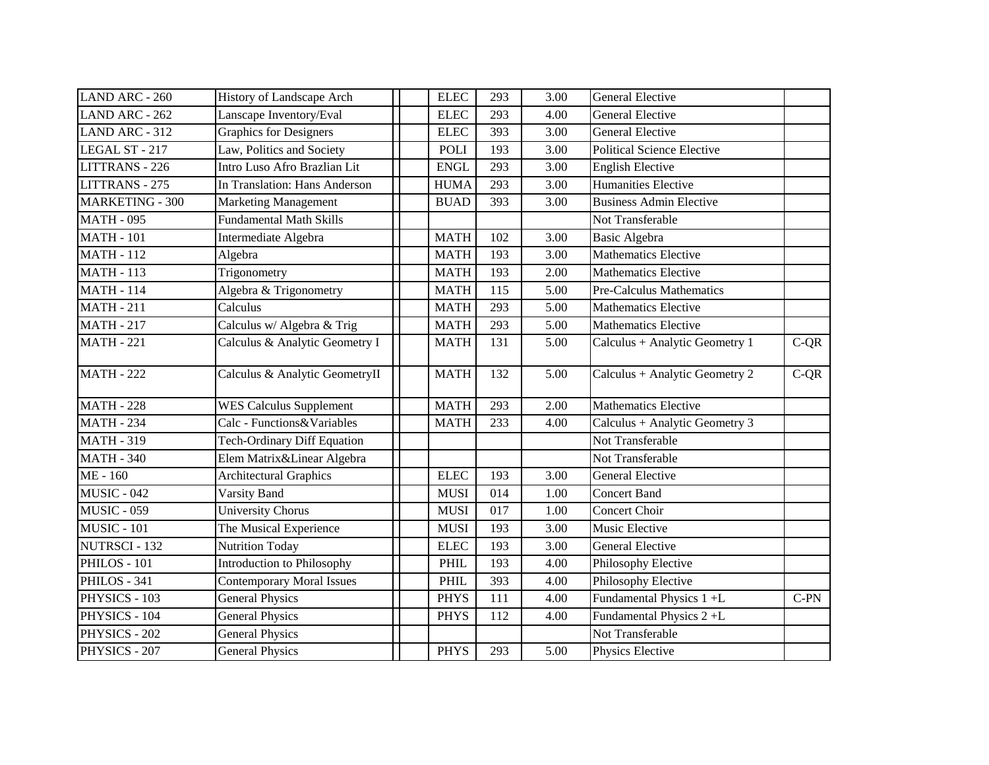| LAND ARC - 260         | History of Landscape Arch          | <b>ELEC</b> | 293 | 3.00 | <b>General Elective</b>           |        |
|------------------------|------------------------------------|-------------|-----|------|-----------------------------------|--------|
| LAND ARC - 262         | Lanscape Inventory/Eval            | <b>ELEC</b> | 293 | 4.00 | <b>General Elective</b>           |        |
| LAND ARC - 312         | <b>Graphics for Designers</b>      | <b>ELEC</b> | 393 | 3.00 | <b>General Elective</b>           |        |
| LEGAL ST - 217         | Law, Politics and Society          | POLI        | 193 | 3.00 | <b>Political Science Elective</b> |        |
| <b>LITTRANS - 226</b>  | Intro Luso Afro Brazlian Lit       | <b>ENGL</b> | 293 | 3.00 | <b>English Elective</b>           |        |
| LITTRANS - 275         | In Translation: Hans Anderson      | <b>HUMA</b> | 293 | 3.00 | <b>Humanities Elective</b>        |        |
| <b>MARKETING - 300</b> | <b>Marketing Management</b>        | <b>BUAD</b> | 393 | 3.00 | <b>Business Admin Elective</b>    |        |
| <b>MATH - 095</b>      | <b>Fundamental Math Skills</b>     |             |     |      | Not Transferable                  |        |
| <b>MATH - 101</b>      | Intermediate Algebra               | <b>MATH</b> | 102 | 3.00 | <b>Basic Algebra</b>              |        |
| <b>MATH - 112</b>      | Algebra                            | <b>MATH</b> | 193 | 3.00 | <b>Mathematics Elective</b>       |        |
| <b>MATH - 113</b>      | Trigonometry                       | <b>MATH</b> | 193 | 2.00 | <b>Mathematics Elective</b>       |        |
| <b>MATH - 114</b>      | Algebra & Trigonometry             | <b>MATH</b> | 115 | 5.00 | Pre-Calculus Mathematics          |        |
| <b>MATH - 211</b>      | Calculus                           | <b>MATH</b> | 293 | 5.00 | <b>Mathematics Elective</b>       |        |
| <b>MATH - 217</b>      | Calculus w/ Algebra & Trig         | <b>MATH</b> | 293 | 5.00 | <b>Mathematics Elective</b>       |        |
| <b>MATH - 221</b>      | Calculus & Analytic Geometry I     | <b>MATH</b> | 131 | 5.00 | Calculus + Analytic Geometry 1    | $C-QR$ |
| $MATH - 222$           | Calculus & Analytic GeometryII     | <b>MATH</b> | 132 | 5.00 | Calculus + Analytic Geometry 2    | $C-QR$ |
| <b>MATH - 228</b>      | <b>WES Calculus Supplement</b>     | <b>MATH</b> | 293 | 2.00 | <b>Mathematics Elective</b>       |        |
| <b>MATH - 234</b>      | Calc - Functions&Variables         | <b>MATH</b> | 233 | 4.00 | Calculus + Analytic Geometry 3    |        |
| <b>MATH - 319</b>      | <b>Tech-Ordinary Diff Equation</b> |             |     |      | Not Transferable                  |        |
| <b>MATH - 340</b>      | Elem Matrix&Linear Algebra         |             |     |      | Not Transferable                  |        |
| $ME - 160$             | <b>Architectural Graphics</b>      | <b>ELEC</b> | 193 | 3.00 | <b>General Elective</b>           |        |
| $MUSIC - 042$          | Varsity Band                       | <b>MUSI</b> | 014 | 1.00 | <b>Concert Band</b>               |        |
| <b>MUSIC - 059</b>     | <b>University Chorus</b>           | <b>MUSI</b> | 017 | 1.00 | Concert Choir                     |        |
| <b>MUSIC - 101</b>     | The Musical Experience             | <b>MUSI</b> | 193 | 3.00 | Music Elective                    |        |
| NUTRSCI - 132          | <b>Nutrition Today</b>             | <b>ELEC</b> | 193 | 3.00 | <b>General Elective</b>           |        |
| PHILOS - 101           | <b>Introduction to Philosophy</b>  | PHIL        | 193 | 4.00 | Philosophy Elective               |        |
| PHILOS - 341           | <b>Contemporary Moral Issues</b>   | PHIL        | 393 | 4.00 | Philosophy Elective               |        |
| PHYSICS - $103$        | <b>General Physics</b>             | <b>PHYS</b> | 111 | 4.00 | Fundamental Physics 1 +L          | $C-PN$ |
| PHYSICS - 104          | <b>General Physics</b>             | <b>PHYS</b> | 112 | 4.00 | Fundamental Physics 2+L           |        |
| PHYSICS - 202          | <b>General Physics</b>             |             |     |      | Not Transferable                  |        |
| PHYSICS - 207          | <b>General Physics</b>             | <b>PHYS</b> | 293 | 5.00 | Physics Elective                  |        |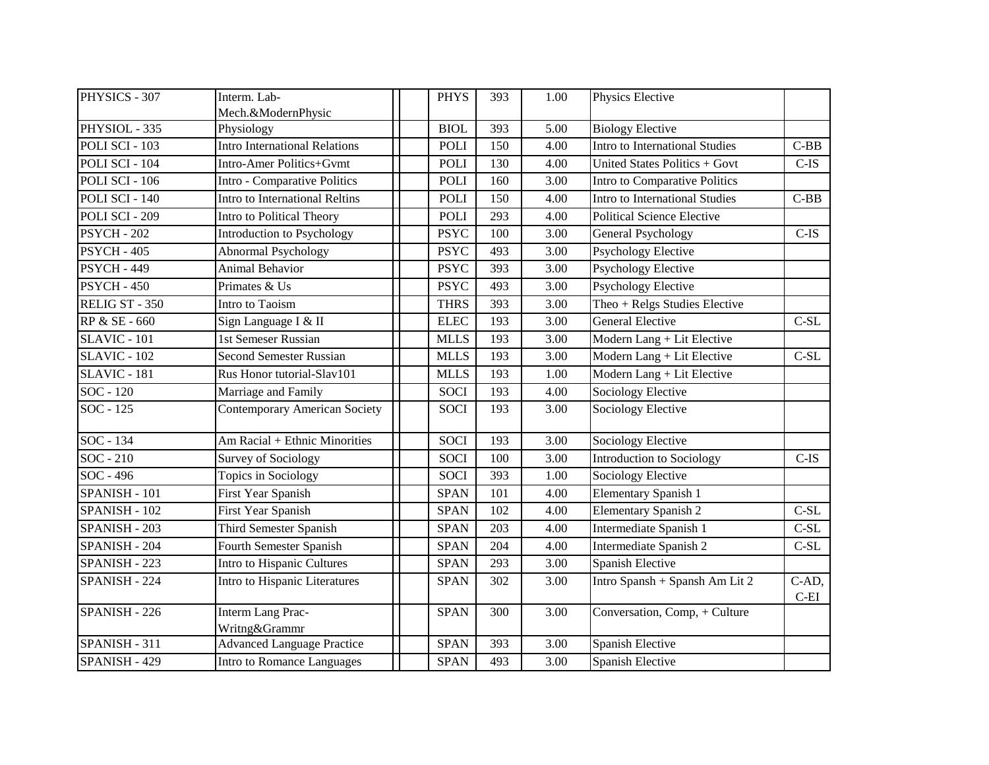| PHYSICS - 307       | Interm. Lab-                         | <b>PHYS</b> | 393              | 1.00 | Physics Elective                  |                     |
|---------------------|--------------------------------------|-------------|------------------|------|-----------------------------------|---------------------|
|                     | Mech.&ModernPhysic                   |             |                  |      |                                   |                     |
| PHYSIOL - 335       | Physiology                           | <b>BIOL</b> | 393              | 5.00 | <b>Biology Elective</b>           |                     |
| POLI SCI - 103      | <b>Intro International Relations</b> | <b>POLI</b> | 150              | 4.00 | Intro to International Studies    | $C-BB$              |
| POLI SCI - 104      | Intro-Amer Politics+Gvmt             | <b>POLI</b> | 130              | 4.00 | United States Politics + Govt     | $C-IS$              |
| POLI SCI - 106      | Intro - Comparative Politics         | <b>POLI</b> | 160              | 3.00 | Intro to Comparative Politics     |                     |
| POLI SCI - 140      | Intro to International Reltins       | <b>POLI</b> | 150              | 4.00 | Intro to International Studies    | $C-BB$              |
| POLI SCI - 209      | Intro to Political Theory            | <b>POLI</b> | 293              | 4.00 | <b>Political Science Elective</b> |                     |
| <b>PSYCH - 202</b>  | Introduction to Psychology           | <b>PSYC</b> | 100              | 3.00 | <b>General Psychology</b>         | $C$ -IS             |
| <b>PSYCH - 405</b>  | <b>Abnormal Psychology</b>           | <b>PSYC</b> | 493              | 3.00 | <b>Psychology Elective</b>        |                     |
| <b>PSYCH - 449</b>  | <b>Animal Behavior</b>               | <b>PSYC</b> | 393              | 3.00 | <b>Psychology Elective</b>        |                     |
| <b>PSYCH - 450</b>  | Primates & Us                        | <b>PSYC</b> | 493              | 3.00 | <b>Psychology Elective</b>        |                     |
| RELIG ST - 350      | Intro to Taoism                      | <b>THRS</b> | 393              | 3.00 | Theo + Relgs Studies Elective     |                     |
| RP & SE - 660       | Sign Language I & II                 | <b>ELEC</b> | 193              | 3.00 | <b>General Elective</b>           | $C-SL$              |
| <b>SLAVIC - 101</b> | 1st Semeser Russian                  | <b>MLLS</b> | 193              | 3.00 | Modern Lang + Lit Elective        |                     |
| <b>SLAVIC - 102</b> | <b>Second Semester Russian</b>       | <b>MLLS</b> | 193              | 3.00 | Modern Lang + Lit Elective        | $C-SL$              |
| $SLAVIC - 181$      | Rus Honor tutorial-Slav101           | <b>MLLS</b> | 193              | 1.00 | Modern Lang + Lit Elective        |                     |
| SOC - 120           | Marriage and Family                  | <b>SOCI</b> | 193              | 4.00 | <b>Sociology Elective</b>         |                     |
| SOC - 125           | <b>Contemporary American Society</b> | <b>SOCI</b> | 193              | 3.00 | <b>Sociology Elective</b>         |                     |
| SOC - 134           | Am Racial + Ethnic Minorities        | <b>SOCI</b> | 193              | 3.00 | Sociology Elective                |                     |
| $SOC - 210$         | <b>Survey of Sociology</b>           | <b>SOCI</b> | 100              | 3.00 | Introduction to Sociology         | $C$ -IS             |
| SOC - 496           | Topics in Sociology                  | <b>SOCI</b> | 393              | 1.00 | <b>Sociology Elective</b>         |                     |
| SPANISH - 101       | First Year Spanish                   | <b>SPAN</b> | 101              | 4.00 | <b>Elementary Spanish 1</b>       |                     |
| SPANISH - 102       | First Year Spanish                   | <b>SPAN</b> | 102              | 4.00 | <b>Elementary Spanish 2</b>       | $C-SL$              |
| SPANISH - 203       | Third Semester Spanish               | <b>SPAN</b> | 203              | 4.00 | Intermediate Spanish 1            | $C-SL$              |
| SPANISH - 204       | <b>Fourth Semester Spanish</b>       | <b>SPAN</b> | $\overline{204}$ | 4.00 | Intermediate Spanish 2            | $C-SL$              |
| SPANISH - 223       | Intro to Hispanic Cultures           | <b>SPAN</b> | 293              | 3.00 | Spanish Elective                  |                     |
| SPANISH - 224       | Intro to Hispanic Literatures        | <b>SPAN</b> | 302              | 3.00 | Intro Spansh + Spansh Am Lit 2    | $C-AD$ ,<br>$C$ -EI |
| SPANISH - 226       | Interm Lang Prac-<br>Writng&Grammr   | <b>SPAN</b> | 300              | 3.00 | Conversation, Comp, + Culture     |                     |
| SPANISH - 311       | <b>Advanced Language Practice</b>    | <b>SPAN</b> | 393              | 3.00 | Spanish Elective                  |                     |
| SPANISH - 429       | Intro to Romance Languages           | <b>SPAN</b> | 493              | 3.00 | Spanish Elective                  |                     |